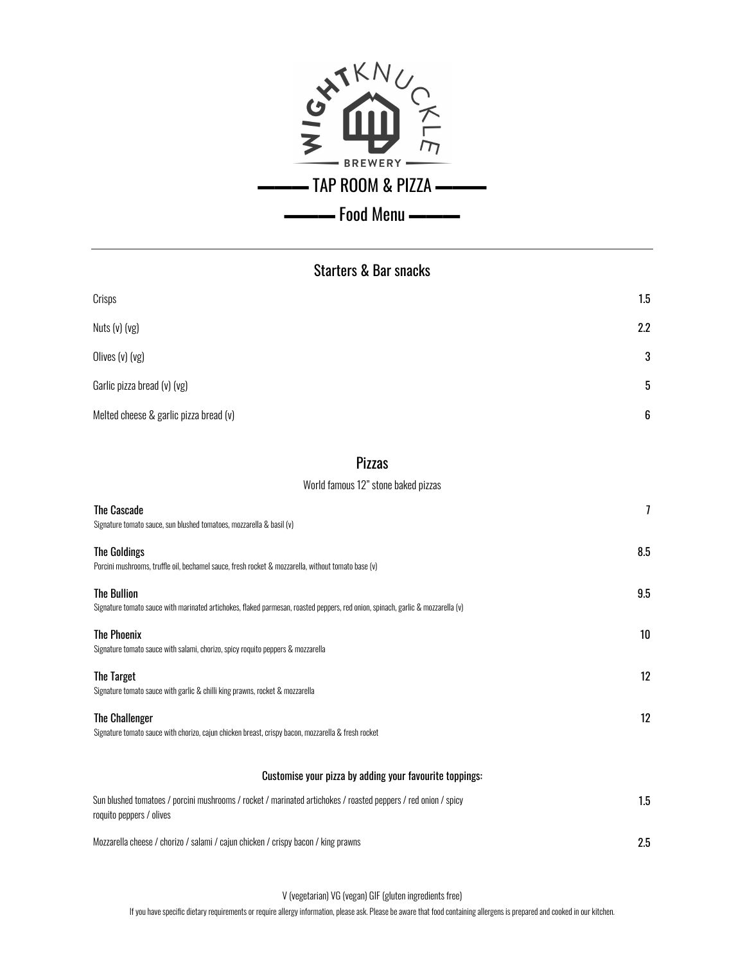

## Starters & Bar snacks

| Crisps                                 | $1.5\,$      |
|----------------------------------------|--------------|
| Nuts (v) (vg)                          | 2.2          |
| Olives (v) (vg)                        | $\mathbf{3}$ |
| Garlic pizza bread (v) (vg)            | 5            |
| Melted cheese & garlic pizza bread (v) | 6            |

#### Pizzas

World famous 12" stone baked pizzas

| The Cascade<br>Signature tomato sauce, sun blushed tomatoes, mozzarella & basil (v)                                                                   | 7   |
|-------------------------------------------------------------------------------------------------------------------------------------------------------|-----|
| <b>The Goldings</b><br>Porcini mushrooms, truffle oil, bechamel sauce, fresh rocket & mozzarella, without tomato base (v)                             | 8.5 |
| <b>The Bullion</b><br>Signature tomato sauce with marinated artichokes, flaked parmesan, roasted peppers, red onion, spinach, garlic & mozzarella (v) | 9.5 |
| <b>The Phoenix</b><br>Signature tomato sauce with salami, chorizo, spicy roquito peppers & mozzarella                                                 | 10  |
| The Target<br>Signature tomato sauce with garlic & chilli king prawns, rocket & mozzarella                                                            | 12  |
| <b>The Challenger</b><br>Signature tomato sauce with chorizo, cajun chicken breast, crispy bacon, mozzarella & fresh rocket                           | 12  |
| Customise your pizza by adding your favourite toppings:                                                                                               |     |
| Sun blushed tomatoes / porcini mushrooms / rocket / marinated artichokes / roasted peppers / red onion / spicy<br>roquito peppers / olives            | 1.5 |
| Mozzarella cheese / chorizo / salami / cajun chicken / crispy bacon / king prawns                                                                     | 2.5 |

V (vegetarian) VG (vegan) GIF (gluten ingredients free)

If you have specific dietary requirements or require allergy information, please ask. Please be aware that food containing allergens is prepared and cooked in our kitchen.